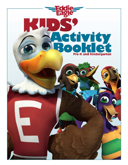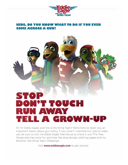

## **KIDS, DO YOU KNOW WHAT TO DO IF YOU EYER COME ACROSS A GUN?**



Hi! I'm Eddie Eagle, and this is the Wing Team! We're here to teach you an important lesson about gun safety. If you haven't watched our special video yet, be sure to visit the Eddie Eagle Tree House to check it out! The Tree House also has more fun activities like sing-alongs, coloring pages and my favorite-the Wing Team Challenge!

Visit **www.eddieeagle.com** to get started.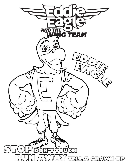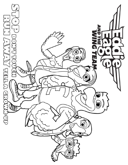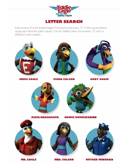

Instructions: E is for Eddie Eagle! Find and circle every "E" in the words below using your favorite color crayon. S is for Safety! Now circle every "S" with a different color crayon.

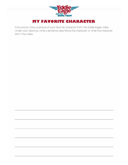

Instructions: Draw a picture of your favorite character from the Eddie Eagle video. Under your drawing, write a sentence describing the character or what the character did in the video.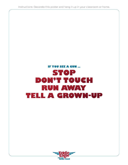Instructions: Decorate this poster and hang it up in your classroom or home.

## **IF YOU SEE A GUN ... STOP** DON'T TOUCH **RUN AWAY TELL A GROWN-UP**